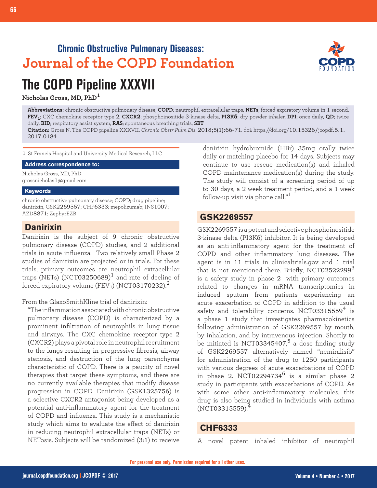## **Chronic Obstructive Pulmonary Diseases: Journal of the COPD Foundation**



# **The COPD Pipeline XXXVII**

**Nicholas Gross, MD, PhD<sup>1</sup>**

**Abbreviations:** chronic obstructive pulmonary disease, **COPD**; neutrophil extracellular traps, **NETs**; forced expiratory volume in 1 second, **FEV1**; CXC chemokine receptor type 2, **CXCR2**; phosphoinositide 3-kinase delta, **PI3Kδ**; dry powder inhaler, **DPI**; once daily, **QD**; twice daily, **BID**; respiratory assist system, **RAS**; spontaneous breathing trials, **SBT**

**Citation:** Gross N. The COPD pipeline XXXVII. *Chronic Obstr Pulm Dis*. 2018;5(1):66-71. doi: https://doi.org/10.15326/jcopdf.5.1. 2017.0184

1 St Francis Hospital and University Medical Research, LLC

**Address correspondence to:**

Nicholas Gross, MD, PhD grossnicholas1@gmail.com

#### **Keywords**

chronic obstructive pulmonary disease; COPD; drug pipeline; danirixin, GSK2269557; CHF6333; mepolizumab; INS1007; AZD8871; ZephyrEZB

#### **Danirixin**

Danirixin is the subject of 9 chronic obstructive pulmonary disease (COPD) studies, and 2 additional trials in acute influenza. Two relatively small Phase 2 studies of danirixin are projected or in trials. For these trials, primary outcomes are neutrophil extracellular traps (NETs) (NCT03250689) $^{\rm l}$  and rate of decline of forced expiratory volume (FEV<sub>1</sub>) (NCT03170232).<sup>2</sup>

From the GlaxoSmithKline trial of danirixin:

"The inflammation associated with chronic obstructive pulmonary disease (COPD) is characterized by a prominent infiltration of neutrophils in lung tissue and airways. The CXC chemokine receptor type 2 (CXCR2) plays a pivotal role in neutrophil recruitment to the lungs resulting in progressive fibrosis, airway stenosis, and destruction of the lung parenchyma characteristic of COPD. There is a paucity of novel therapies that target these symptoms, and there are no currently available therapies that modify disease progression in COPD. Danirixin (GSK1325756) is a selective CXCR2 antagonist being developed as a potential anti-inflammatory agent for the treatment of COPD and influenza. This study is a mechanistic study which aims to evaluate the effect of danirixin in reducing neutrophil extracellular traps (NETs) or NETosis. Subjects will be randomized (3:1) to receive

danirixin hydrobromide (HBr) 35mg orally twice daily or matching placebo for 14 days. Subjects may continue to use rescue medication(s) and inhaled COPD maintenance medication(s) during the study. The study will consist of a screening period of up to 30 days, a 2-week treatment period, and a 1-week follow-up visit via phone call."<sup>1</sup>

#### **GSK2269557**

GSK2269557 is a potent and selective phosphoinositide 3-kinase delta (PI3Kδ) inhibitor. It is being developed as an anti-inflammatory agent for the treatment of COPD and other inflammatory lung diseases. The agent is in 11 trials in clinicaltrials.gov and 1 trial that is not mentioned there. Briefly, NCT02522299 $^3$ is a safety study in phase 2 with primary outcomes related to changes in mRNA transcriptomics in induced sputum from patients experiencing an acute exacerbation of COPD in addition to the usual safety and tolerability concerns. NCT03315559 $4$  is a phase 1 study that investigates pharmacokinetics following administration of GSK2269557 by mouth, by inhalation, and by intravenous injection. Shortly to be initiated is NCT03345407, $^5$  a dose finding study of GSK2269557 alternatively named "nemiralisib" for administration of the drug to 1250 participants with various degrees of acute exacerbations of COPD in phase 2. NCT02294734 $^6$  is a similar phase 2 study in participants with exacerbations of COPD. As with some other anti-inflammatory molecules, this drug is also being studied in individuals with asthma (NCT03315559).

#### **CHF6333**

A novel potent inhaled inhibitor of neutrophil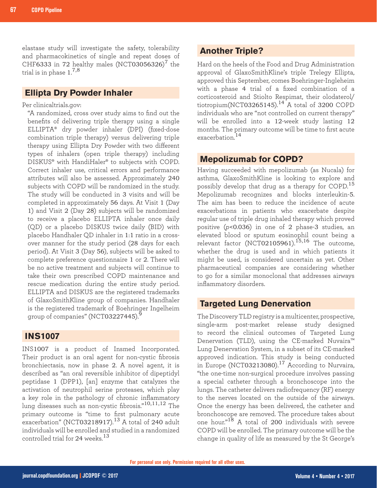elastase study will investigate the safety, tolerability and pharmacokinetics of single and repeat doses of CHF6333 in 72 healthy males (NCT03056326)<sup>7</sup> the trial is in phase  $1.^{\rm 7,8}$ 

### **Ellipta Dry Powder Inhaler**

Per clinicaltrials.gov:

"A randomized, cross over study aims to find out the benefits of delivering triple therapy using a single ELLIPTA® dry powder inhaler (DPI) (fixed-dose combination triple therapy) versus delivering triple therapy using Ellipta Dry Powder with two different types of inhalers (open triple therapy) including DISKUS® with HandiHaler® to subjects with COPD. Correct inhaler use, critical errors and performance attributes will also be assessed. Approximately 240 subjects with COPD will be randomized in the study. The study will be conducted in 3 visits and will be completed in approximately 56 days. At Visit 1 (Day 1) and Visit 2 (Day 28) subjects will be randomized to receive a placebo ELLIPTA inhaler once daily (QD) or a placebo DISKUS twice daily (BID) with placebo Handhaler QD inhaler in 1:1 ratio in a crossover manner for the study period (28 days for each period). At Visit 3 (Day 56), subjects will be asked to complete preference questionnaire 1 or 2. There will be no active treatment and subjects will continue to take their own prescribed COPD maintenance and rescue medication during the entire study period. ELLIPTA and DISKUS are the registered trademarks of GlaxoSmithKline group of companies. Handhaler is the registered trademark of Boehringer Ingelheim group of companies"  $(NCT03227445)$ .

#### **INS1007**

INS1007 is a product of Insmed Incorporated. Their product is an oral agent for non-cystic fibrosis bronchiectasis, now in phase 2. A novel agent, it is described as "an oral reversible inhibitor of dipeptidyl peptidase 1 (DPP1), [an] enzyme that catalyzes the activation of neutrophil serine proteases, which play a key role in the pathology of chronic inflammatory lung diseases such as non-cystic fibrosis."10,11,12 The primary outcome is "time to first pulmonary acute exacerbation" (NCT03218917). $^{13}$  A total of 240 adult individuals will be enrolled and studied in a randomized controlled trial for 24 weeks <sup>13</sup>

### **Another Triple?**

Hard on the heels of the Food and Drug Administration approval of GlaxoSmithKline's triple Trelegy Ellipta, approved this September, comes Boehringer-Ingleheim with a phase 4 trial of a fixed combination of a corticosteroid and Stiolto Respimat, their olodaterol/ tiotropium(NCT03265145). $14$ <sup>1</sup>A total of 3200 COPD individuals who are "not controlled on current therapy" will be enrolled into a 12-week study lasting 12 months. The primary outcome will be time to first acute exacerbation.<sup>14</sup>

#### **Mepolizumab for COPD?**

Having succeeded with mepolizumab (as Nucala) for asthma, GlaxoSmithKline is looking to explore and possibly develop that drug as a therapy for COPD.<sup>15</sup> Mepolizumab recognizes and blocks interleukin-5. The aim has been to reduce the incidence of acute exacerbations in patients who exacerbate despite regular use of triple drug inhaled therapy which proved positive (*p*<0.036) in one of 2 phase-3 studies, an elevated blood or sputum eosinophil count being a relevant factor (NCT02105961).<sup>15,16</sup> The outcome, whether the drug is used and in which patients it might be used, is considered uncertain as yet. Other pharmaceutical companies are considering whether to go for a similar monoclonal that addresses airways inflammatory disorders.

#### **Targeted Lung Denervation**

The Discovery TLD registry is a multicenter, prospective, single-arm post-market release study designed to record the clinical outcomes of Targeted Lung Denervation (TLD), using the CE-marked Nuvaira™ Lung Denervation System, in a subset of its CE-marked approved indication. This study is being conducted in Europe (NCT03213080).<sup>17</sup> According to Nurvaira, "the one-time non-surgical procedure involves passing a special catheter through a bronchoscope into the lungs. The catheter delivers radiofrequency (RF) energy to the nerves located on the outside of the airways. Once the energy has been delivered, the catheter and bronchoscope are removed. The procedure takes about one hour."18 A total of 200 individuals with severe COPD will be enrolled. The primary outcome will be the change in quality of life as measured by the St George's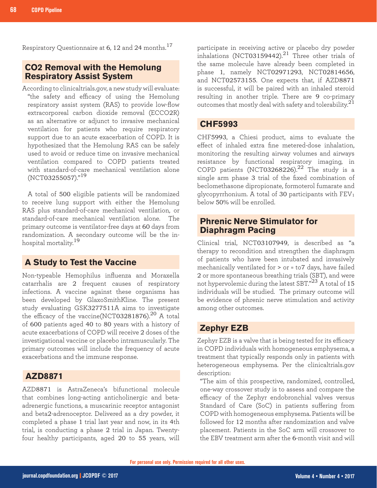Respiratory Questionnaire at 6, 12 and 24 months.<sup>17</sup>

#### **CO2 Removal with the Hemolung Respiratory Assist System**

According to clinicaltrials.gov, a new study will evaluate: "the safety and efficacy of using the Hemolung respiratory assist system (RAS) to provide low-flow extracorporeal carbon dioxide removal (ECCO2R) as an alternative or adjunct to invasive mechanical ventilation for patients who require respiratory support due to an acute exacerbation of COPD. It is hypothesized that the Hemolung RAS can be safely used to avoid or reduce time on invasive mechanical ventilation compared to COPD patients treated with standard-of-care mechanical ventilation alone (NCT03255057)."<sup>19</sup>

A total of 500 eligible patients will be randomized to receive lung support with either the Hemolung RAS plus standard-of-care mechanical ventilation, or standard-of-care mechanical ventilation alone. The primary outcome is ventilator-free days at 60 days from randomization. A secondary outcome will be the inhospital mortality.<sup>19</sup>

#### **A Study to Test the Vaccine**

Non-typeable Hemophilus influenza and Moraxella catarrhalis are 2 frequent causes of respiratory infections. A vaccine against these organisms has been developed by GlaxoSmithKline. The present study evaluating GSK3277511A aims to investigate the efficacy of the vaccine(NCT03281876).<sup>20</sup> A total of 600 patients aged 40 to 80 years with a history of acute exacerbations of COPD will receive 2 doses of the investigational vaccine or placebo intramuscularly. The primary outcomes will include the frequency of acute exacerbations and the immune response.

#### **AZD8871**

AZD8871 is AstraZeneca's bifunctional molecule that combines long-acting anticholinergic and betaadrenergic functions, a muscarinic receptor antagonist and beta2-adrenoceptor. Delivered as a dry powder, it completed a phase 1 trial last year and now, in its 4th trial, is conducting a phase 2 trial in Japan. Twentyfour healthy participants, aged 20 to 55 years, will

participate in receiving active or placebo dry powder inhalations (NCT03159442). $^{21}$  Three other trials of the same molecule have already been completed in phase 1, namely NCT02971293, NCT02814656, and NCT02573155. One expects that, if AZD8871 is successful, it will be paired with an inhaled steroid resulting in another triple. There are 9 co-primary outcomes that mostly deal with safety and tolerability. $^{21}$ 

#### **CHF5993**

CHF5993, a Chiesi product, aims to evaluate the effect of inhaled extra fine metered-dose inhalation, monitoring the resulting airway volumes and airways resistance by functional respiratory imaging, in COPD patients (NCT03268226).<sup>22</sup> The study is a single arm phase 3 trial of the fixed combination of beclomethasone dipropionate, formoterol fumarate and glycopyrrhonium. A total of 30 participants with  $FEV<sub>1</sub>$ below 50% will be enrolled.

### **Phrenic Nerve Stimulator for Diaphragm Pacing**

Clinical trial, NCT03107949, is described as "a therapy to recondition and strengthen the diaphragm of patients who have been intubated and invasively mechanically ventilated for > or = to7 days, have failed 2 or more spontaneous breathing trials (SBT), and were not hypervolemic during the latest SBT."<sup>23</sup> A total of 15 individuals will be studied. The primary outcome will be evidence of phrenic nerve stimulation and activity among other outcomes.

#### **Zephyr EZB**

Zephyr EZB is a valve that is being tested for its efficacy in COPD individuals with homogeneous emphysema, a treatment that typically responds only in patients with heterogeneous emphysema. Per the clinicaltrials.gov description:

"The aim of this prospective, randomized, controlled, one-way crossover study is to assess and compare the efficacy of the Zephyr endobronchial valves versus Standard of Care (SoC) in patients suffering from COPD with homogeneous emphysema. Patients will be followed for 12 months after randomization and valve placement. Patients in the SoC arm will crossover to the EBV treatment arm after the 6-month visit and will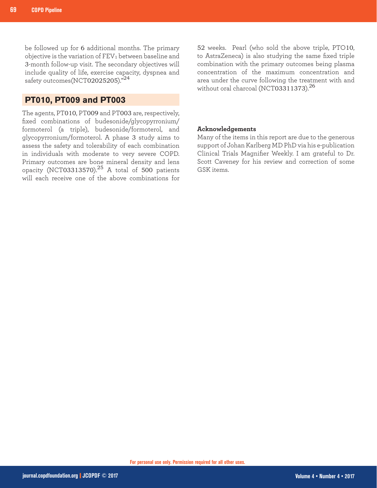be followed up for 6 additional months. The primary objective is the variation of  $FEV<sub>1</sub>$  between baseline and 3-month follow-up visit. The secondary objectives will include quality of life, exercise capacity, dyspnea and safety outcomes(NCT02025205)."<sup>24</sup>

#### **PT010, PT009 and PT003**

The agents, PT010, PT009 and PT003 are, respectively, fixed combinations of budesonide/glycopyrronium/ formoterol (a triple), budesonide/formoterol, and glycopyrronium/formoterol. A phase 3 study aims to assess the safety and tolerability of each combination in individuals with moderate to very severe COPD. Primary outcomes are bone mineral density and lens opacity (NCT03313570). $25$  A total of 500 patients will each receive one of the above combinations for

52 weeks. Pearl (who sold the above triple, PTO10, to AstraZeneca) is also studying the same fixed triple combination with the primary outcomes being plasma concentration of the maximum concentration and area under the curve following the treatment with and without oral charcoal (NCT03311373).<sup>26</sup>

#### **Acknowledgements**

Many of the items in this report are due to the generous support of Johan Karlberg MD PhD via his e-publication Clinical Trials Magnifier Weekly. I am grateful to Dr. Scott Caveney for his review and correction of some GSK items.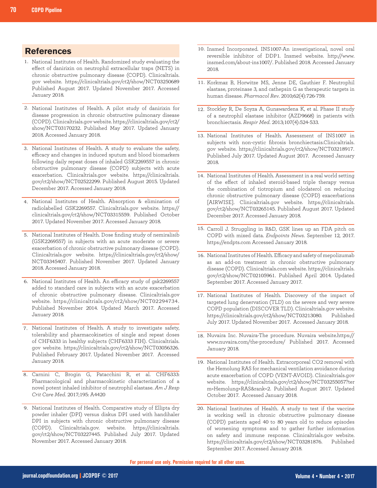#### **References**

- 1. National Institutes of Health. Randomized study evaluating the effect of danirixin on neutrophil extracellular traps (NETS) in chronic obstructive pulmonary disease (COPD). Clinicaltrials. gov website. https://clinicaltrials.gov/ct2/show/NCT03250689 Published August 2017. Updated November 2017. Accessed January 2018.
- 2. National Institutes of Health. A pilot study of danirixin for disease progression in chronic obstructive pulmonary disease (COPD). Clinicaltrials.gov website. https://clinicaltrials.gov/ct2/ show/NCT03170232. Published May 2017. Updated January 2018. Accessed January 2018.
- National Institutes of Health. A study to evaluate the safety, 3. efficacy and changes in induced sputum and blood biomarkers following daily repeat doses of inhaled GSK2269557 in chronic obstructive pulmonary disease (COPD) subjects with acute exacerbation. Clinicaltrials.gov website. https://clinicaltrials. gov/ct2/show/NCT02522299. Published August 2015. Updated December 2017. Accessed January 2018.
- 4. National Institutes of Health. Absorption & elimination of radiolabelled GSK2269557. Clinicaltrials.gov website. https:// clinicaltrials.gov/ct2/show/NCT03315559. Published October 2017. Updated November 2017. Accessed January 2018.
- National Institutes of Health. Dose finding study of nemiralisib 5. (GSK2269557) in subjects with an acute moderate or severe exacerbation of chronic obstructive pulmonary disease (COPD). Clinicaltrials.gov website. https://clinicaltrials.gov/ct2/show/ NCT03345407. Published November 2017. Updated January 2018. Accessed January 2018.
- 6. National Institutes of Health. An efficacy study of gsk2269557 added to standard care in subjects with an acute exacerbation of chronic obstructive pulmonary disease. Clinicaltrials.gov website. https://clinicaltrials.gov/ct2/show/NCT02294734. Published November 2014. Updated March 2017. Accessed January 2018.
- 7. National Institutes of Health. A study to investigate safety, tolerability and pharmacokinetics of single and repeat doses of CHF6333 in healthy subjects (CHF6333 FIH). Clinicaltrials. gov website. https://clinicaltrials.gov/ct2/show/NCT03056326. Published February 2017. Updated November 2017. Accessed January 2018.
- Carnini C, Brogin G, Patacchini R, et al. CHF6333: 8. Pharmacological and pharmacokinetic characterization of a novel potent inhaled inhibitor of neutrophil elastase. *Am J Resp Crit Care Med*. 2017;195: A4420
- 9. National Institutes of Health. Comparative study of Ellipta dry powder inhaler (DPI) versus diskus DPI used with handihaler DPI in subjects with chronic obstructive pulmonary disease (COPD). Clinicaltrials.gov. website. https://clinicaltrials. gov/ct2/show/NCT03227445. Published July 2017. Updated November 2017. Accessed January 2018.
- 10. Insmed Incorporated. INS1007-An investigational, novel oral reversible inhibitor of DDP1. Insmed website. http://www. insmed.com/about-ins1007/. Published 2018. Accessed January 2018.
- 11. Korkmaz B, Horwitze MS, Jenne DE, Gauthier F. Neutrophil elastase, proteinase 3, and cathepsin G as therapeutic targets in human disease. *Pharmacol Rev*. 2010;62(4):726-759.
- 12. Stockley R, De Soyza A, Gunawardena K, et al. Phase II study of a neutrophil elastase inhibitor (AZD9668) in patients with bronchiectasis. *Respir Med*. 2013;107(4):524-533.
- 13. National Institutes of Health. Assessment of INS1007 in subjects with non-cystic fibrosis bronchiectasis.Clinicaltrials. gov website. https://clinicaltrials.gov/ct2/show/NCT03218917. Published July 2017. Updated August 2017. Accessed January 2018.
- 14. National Institutes of Health. Assessment in a real world setting of the effect of inhaled steroid-based triple therapy versus the combination of tiotropium and olodaterol on reducing chronic obstructive pulmonary disease (COPD) exacerbations [AIRWISE]. Clinicaltrials.gov website. https://clinicaltrials. gov/ct2/show/NCT03265145. Published August 2017. Updated December 2017. Accessed January 2018.
- 15. Carroll J. Struggling in R&D, GSK lines up an FDA pitch on COPD with mixed data. *Endpoints News*. September 12, 2017. https://endpts.com Accessed January 2018.
- 16. National Institutes of Health. Efficacy and safety of mepolizumab as an add-on treatment in chronic obstructive pulmonary disease (COPD). Clinicaltrials.com website. https://clinicaltrials. gov/ct2/show/NCT02105961. Published April 2014. Updated September 2017. Accessed January 2017.
- 17. National Institutes of Health. Discovery of the impact of targeted lung denervation (TLD) on the severe and very severe COPD population (DISCOVER TLD). Clinicaltrials.gov website. https://clinicaltrials.gov/ct2/show/NCT03213080. Published July 2017. Updated November 2017. Accessed January 2018.
- 18. Nuvaira Inc. Nuvaira-The procedure. Nuvaira website.https:// www.nuvaira.com/the-procedure/ Published 2017. Accessed January 2018.
- 19. National Institutes of Health. Extracorporeal CO2 removal with the Hemolung RAS for mechanical ventilation avoidance during acute exacerbation of COPD (VENT-AVOID). Clinicaltrials.gov website. https://clinicaltrials.gov/ct2/show/NCT03255057?ter m=Hemolung+RAS&rank=2. Published August 2017. Updated October 2017. Accessed January 2018.
- 20. National Institutes of Health. A study to test if the vaccine is working well in chronic obstructive pulmonary disease (COPD) patients aged 40 to 80 years old to reduce episodes of worsening symptoms and to gather further information on safety and immune response. Clinicaltrials.gov website. https://clinicaltrials.gov/ct2/show/NCT03281876. Published September 2017. Accessed January 2018.

**For personal use only. Permission required for all other uses.**